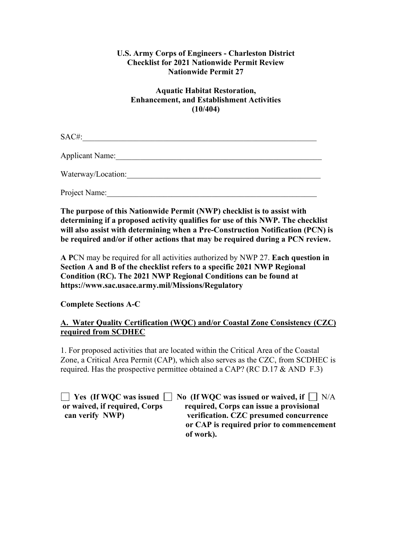# **U.S. Army Corps of Engineers - Charleston District Checklist for 2021 Nationwide Permit Review Nationwide Permit 27**

# **Aquatic Habitat Restoration, Enhancement, and Establishment Activities (10/404)**

 $SAC\#$ :

Applicant Name:

Waterway/Location:

Project Name:\_\_\_\_\_\_\_\_\_\_\_\_\_\_\_\_\_\_\_\_\_\_\_\_\_\_\_\_\_\_\_\_\_\_\_\_\_\_\_\_\_\_\_\_\_\_\_\_\_\_\_\_

**The purpose of this Nationwide Permit (NWP) checklist is to assist with determining if a proposed activity qualifies for use of this NWP. The checklist will also assist with determining when a Pre-Construction Notification (PCN) is be required and/or if other actions that may be required during a PCN review.**

**A P**CN may be required for all activities authorized by NWP 27. **Each question in Section A and B of the checklist refers to a specific 2021 NWP Regional Condition (RC). The 2021 NWP Regional Conditions can be found at https://www.sac.usace.army.mil/Missions/Regulatory**

**Complete Sections A-C**

# **A. Water Quality Certification (WQC) and/or Coastal Zone Consistency (CZC) required from SCDHEC**

1. For proposed activities that are located within the Critical Area of the Coastal Zone, a Critical Area Permit (CAP), which also serves as the CZC, from SCDHEC is required. Has the prospective permittee obtained a CAP? (RC D.17  $\&$  AND F.3)

**T** Yes (If WQC was issued **No** (If WQC was issued or waived, if  $\Box$  N/A **or waived, if required, Corps required, Corps can issue a provisional can verify NWP) verification. CZC presumed concurrence or CAP is required prior to commencement of work).**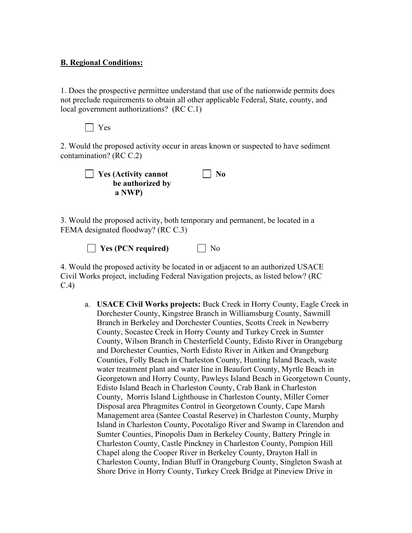### **B. Regional Conditions:**

1. Does the prospective permittee understand that use of the nationwide permits does not preclude requirements to obtain all other applicable Federal, State, county, and local government authorizations? (RC C.1)

Yes

2. Would the proposed activity occur in areas known or suspected to have sediment contamination? (RC C.2)

| $\vert$ Yes (Activity cannot | $\vert$ No |
|------------------------------|------------|
| be authorized by             |            |
| a NWP)                       |            |

3. Would the proposed activity, both temporary and permanent, be located in a FEMA designated floodway? (RC C.3)

| $\Box$ Yes (PCN required) | $\Box$ No |
|---------------------------|-----------|
|---------------------------|-----------|

4. Would the proposed activity be located in or adjacent to an authorized USACE Civil Works project, including Federal Navigation projects, as listed below? (RC C.4)

a. **USACE Civil Works projects:** Buck Creek in Horry County, Eagle Creek in Dorchester County, Kingstree Branch in Williamsburg County, Sawmill Branch in Berkeley and Dorchester Counties, Scotts Creek in Newberry County, Socastee Creek in Horry County and Turkey Creek in Sumter County, Wilson Branch in Chesterfield County, Edisto River in Orangeburg and Dorchester Counties, North Edisto River in Aitken and Orangeburg Counties, Folly Beach in Charleston County, Hunting Island Beach, waste water treatment plant and water line in Beaufort County, Myrtle Beach in Georgetown and Horry County, Pawleys Island Beach in Georgetown County, Edisto Island Beach in Charleston County, Crab Bank in Charleston County, Morris Island Lighthouse in Charleston County, Miller Corner Disposal area Phragmites Control in Georgetown County, Cape Marsh Management area (Santee Coastal Reserve) in Charleston County, Murphy Island in Charleston County, Pocotaligo River and Swamp in Clarendon and Sumter Counties, Pinopolis Dam in Berkeley County, Battery Pringle in Charleston County, Castle Pinckney in Charleston County, Pompion Hill Chapel along the Cooper River in Berkeley County, Drayton Hall in Charleston County, Indian Bluff in Orangeburg County, Singleton Swash at Shore Drive in Horry County, Turkey Creek Bridge at Pineview Drive in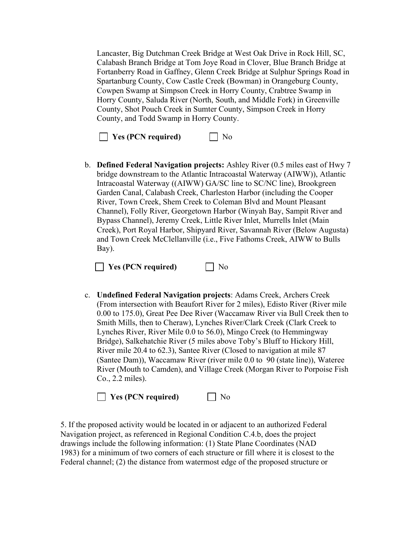Lancaster, Big Dutchman Creek Bridge at West Oak Drive in Rock Hill, SC, Calabash Branch Bridge at Tom Joye Road in Clover, Blue Branch Bridge at Fortanberry Road in Gaffney, Glenn Creek Bridge at Sulphur Springs Road in Spartanburg County, Cow Castle Creek (Bowman) in Orangeburg County, Cowpen Swamp at Simpson Creek in Horry County, Crabtree Swamp in Horry County, Saluda River (North, South, and Middle Fork) in Greenville County, Shot Pouch Creek in Sumter County, Simpson Creek in Horry County, and Todd Swamp in Horry County.

**No** Yes (PCN required) Mo

b. **Defined Federal Navigation projects:** Ashley River (0.5 miles east of Hwy 7 bridge downstream to the Atlantic Intracoastal Waterway (AIWW)), Atlantic Intracoastal Waterway ((AIWW) GA/SC line to SC/NC line), Brookgreen Garden Canal, Calabash Creek, Charleston Harbor (including the Cooper River, Town Creek, Shem Creek to Coleman Blvd and Mount Pleasant Channel), Folly River, Georgetown Harbor (Winyah Bay, Sampit River and Bypass Channel), Jeremy Creek, Little River Inlet, Murrells Inlet (Main Creek), Port Royal Harbor, Shipyard River, Savannah River (Below Augusta) and Town Creek McClellanville (i.e., Five Fathoms Creek, AIWW to Bulls Bay).

**Yes (PCN required)** No

c. **Undefined Federal Navigation projects**: Adams Creek, Archers Creek (From intersection with Beaufort River for 2 miles), Edisto River (River mile 0.00 to 175.0), Great Pee Dee River (Waccamaw River via Bull Creek then to Smith Mills, then to Cheraw), Lynches River/Clark Creek (Clark Creek to Lynches River, River Mile 0.0 to 56.0), Mingo Creek (to Hemmingway Bridge), Salkehatchie River (5 miles above Toby's Bluff to Hickory Hill, River mile 20.4 to 62.3), Santee River (Closed to navigation at mile 87 (Santee Dam)), Waccamaw River (river mile 0.0 to 90 (state line)), Wateree River (Mouth to Camden), and Village Creek (Morgan River to Porpoise Fish Co., 2.2 miles).

**Yes (PCN required)**  $\Box$  No

5. If the proposed activity would be located in or adjacent to an authorized Federal Navigation project, as referenced in Regional Condition C.4.b, does the project drawings include the following information: (1) State Plane Coordinates (NAD 1983) for a minimum of two corners of each structure or fill where it is closest to the Federal channel; (2) the distance from watermost edge of the proposed structure or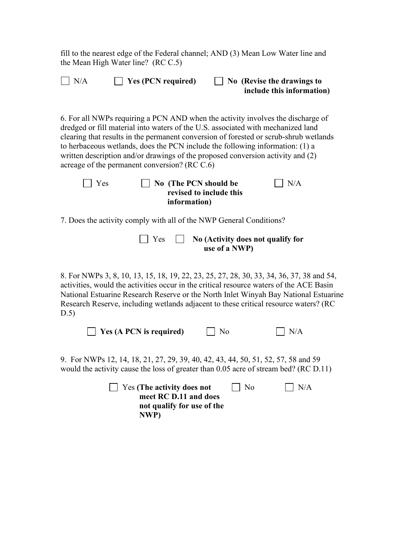fill to the nearest edge of the Federal channel; AND (3) Mean Low Water line and the Mean High Water line? (RC C.5)

| N/A<br>Yes (PCN required)<br>No (Revise the drawings to<br>include this information)                                                                                                                                                                                                                                                                                                                                                                                              |  |
|-----------------------------------------------------------------------------------------------------------------------------------------------------------------------------------------------------------------------------------------------------------------------------------------------------------------------------------------------------------------------------------------------------------------------------------------------------------------------------------|--|
| 6. For all NWPs requiring a PCN AND when the activity involves the discharge of<br>dredged or fill material into waters of the U.S. associated with mechanized land<br>clearing that results in the permanent conversion of forested or scrub-shrub wetlands<br>to herbaceous wetlands, does the PCN include the following information: (1) a<br>written description and/or drawings of the proposed conversion activity and (2)<br>acreage of the permanent conversion? (RC C.6) |  |
| No (The PCN should be<br>N/A<br>Yes<br>revised to include this<br>information)                                                                                                                                                                                                                                                                                                                                                                                                    |  |
| 7. Does the activity comply with all of the NWP General Conditions?                                                                                                                                                                                                                                                                                                                                                                                                               |  |
| Yes<br>No (Activity does not qualify for<br>use of a NWP)                                                                                                                                                                                                                                                                                                                                                                                                                         |  |
| 8. For NWPs 3, 8, 10, 13, 15, 18, 19, 22, 23, 25, 27, 28, 30, 33, 34, 36, 37, 38 and 54,<br>activities, would the activities occur in the critical resource waters of the ACE Basin<br>National Estuarine Research Reserve or the North Inlet Winyah Bay National Estuarine<br>Research Reserve, including wetlands adjacent to these critical resource waters? (RC<br>D.5)                                                                                                       |  |
| Yes (A PCN is required)<br>No<br>N/A                                                                                                                                                                                                                                                                                                                                                                                                                                              |  |
| 9. For NWPs 12, 14, 18, 21, 27, 29, 39, 40, 42, 43, 44, 50, 51, 52, 57, 58 and 59<br>would the activity cause the loss of greater than 0.05 acre of stream bed? (RC D.11)                                                                                                                                                                                                                                                                                                         |  |
| N/A<br>Yes (The activity does not<br>No<br>meet RC D.11 and does<br>not qualify for use of the<br>NWP)                                                                                                                                                                                                                                                                                                                                                                            |  |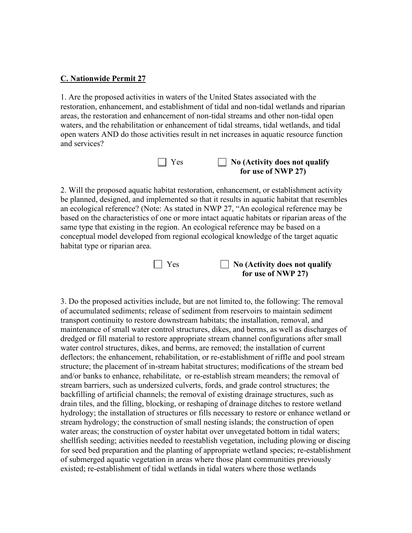#### **C. Nationwide Permit 27**

1. Are the proposed activities in waters of the United States associated with the restoration, enhancement, and establishment of tidal and non-tidal wetlands and riparian areas, the restoration and enhancement of non-tidal streams and other non-tidal open waters, and the rehabilitation or enhancement of tidal streams, tidal wetlands, and tidal open waters AND do those activities result in net increases in aquatic resource function and services?

| $\Box$ Yes | $\Box$ No (Activity does not qualify |
|------------|--------------------------------------|
|            | for use of NWP 27)                   |

2. Will the proposed aquatic habitat restoration, enhancement, or establishment activity be planned, designed, and implemented so that it results in aquatic habitat that resembles an ecological reference? (Note: As stated in NWP 27, "An ecological reference may be based on the characteristics of one or more intact aquatic habitats or riparian areas of the same type that existing in the region. An ecological reference may be based on a conceptual model developed from regional ecological knowledge of the target aquatic habitat type or riparian area.



3. Do the proposed activities include, but are not limited to, the following: The removal of accumulated sediments; release of sediment from reservoirs to maintain sediment transport continuity to restore downstream habitats; the installation, removal, and maintenance of small water control structures, dikes, and berms, as well as discharges of dredged or fill material to restore appropriate stream channel configurations after small water control structures, dikes, and berms, are removed; the installation of current deflectors; the enhancement, rehabilitation, or re-establishment of riffle and pool stream structure; the placement of in-stream habitat structures; modifications of the stream bed and/or banks to enhance, rehabilitate, or re-establish stream meanders; the removal of stream barriers, such as undersized culverts, fords, and grade control structures; the backfilling of artificial channels; the removal of existing drainage structures, such as drain tiles, and the filling, blocking, or reshaping of drainage ditches to restore wetland hydrology; the installation of structures or fills necessary to restore or enhance wetland or stream hydrology; the construction of small nesting islands; the construction of open water areas; the construction of oyster habitat over unvegetated bottom in tidal waters; shellfish seeding; activities needed to reestablish vegetation, including plowing or discing for seed bed preparation and the planting of appropriate wetland species; re-establishment of submerged aquatic vegetation in areas where those plant communities previously existed; re-establishment of tidal wetlands in tidal waters where those wetlands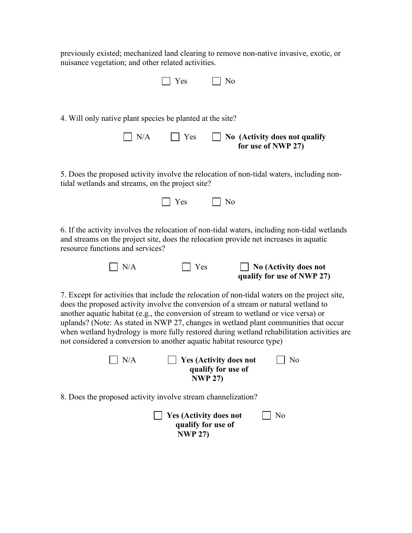previously existed; mechanized land clearing to remove non-native invasive, exotic, or nuisance vegetation; and other related activities.

|                                                                       | Yes | No                                                                                                                                                                                                                                                                                                                                                                                                                                                                 |
|-----------------------------------------------------------------------|-----|--------------------------------------------------------------------------------------------------------------------------------------------------------------------------------------------------------------------------------------------------------------------------------------------------------------------------------------------------------------------------------------------------------------------------------------------------------------------|
| 4. Will only native plant species be planted at the site?             |     |                                                                                                                                                                                                                                                                                                                                                                                                                                                                    |
| N/A                                                                   | Yes | No (Activity does not qualify<br>for use of NWP 27)                                                                                                                                                                                                                                                                                                                                                                                                                |
| tidal wetlands and streams, on the project site?                      |     | 5. Does the proposed activity involve the relocation of non-tidal waters, including non-                                                                                                                                                                                                                                                                                                                                                                           |
|                                                                       | Yes | N <sub>o</sub>                                                                                                                                                                                                                                                                                                                                                                                                                                                     |
| resource functions and services?                                      |     | 6. If the activity involves the relocation of non-tidal waters, including non-tidal wetlands<br>and streams on the project site, does the relocation provide net increases in aquatic                                                                                                                                                                                                                                                                              |
| N/A                                                                   | Yes | No (Activity does not<br>qualify for use of NWP 27)                                                                                                                                                                                                                                                                                                                                                                                                                |
| not considered a conversion to another aquatic habitat resource type) |     | 7. Except for activities that include the relocation of non-tidal waters on the project site,<br>does the proposed activity involve the conversion of a stream or natural wetland to<br>another aquatic habitat (e.g., the conversion of stream to wetland or vice versa) or<br>uplands? (Note: As stated in NWP 27, changes in wetland plant communities that occur<br>when wetland hydrology is more fully restored during wetland rehabilitation activities are |

| $\vert$ $\vert$ N/A | $\vert$ Yes (Activity does not | $\vert$   No |
|---------------------|--------------------------------|--------------|
|                     | qualify for use of             |              |
|                     | <b>NWP 27)</b>                 |              |

8. Does the proposed activity involve stream channelization?

**No** Yes (Activity does not No **qualify for use of NWP 27)**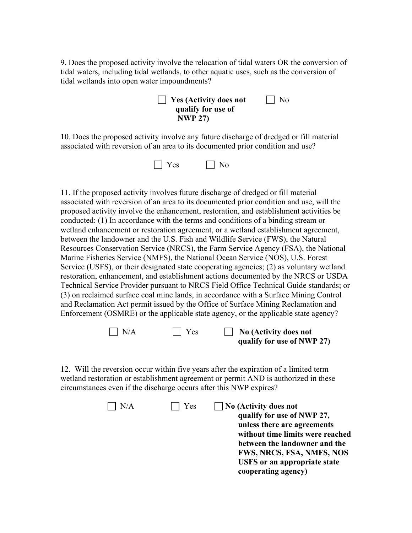9. Does the proposed activity involve the relocation of tidal waters OR the conversion of tidal waters, including tidal wetlands, to other aquatic uses, such as the conversion of tidal wetlands into open water impoundments?

**Yes (Activity does not** No **qualify for use of NWP 27)**

10. Does the proposed activity involve any future discharge of dredged or fill material associated with reversion of an area to its documented prior condition and use?



11. If the proposed activity involves future discharge of dredged or fill material associated with reversion of an area to its documented prior condition and use, will the proposed activity involve the enhancement, restoration, and establishment activities be conducted: (1) In accordance with the terms and conditions of a binding stream or wetland enhancement or restoration agreement, or a wetland establishment agreement, between the landowner and the U.S. Fish and Wildlife Service (FWS), the Natural Resources Conservation Service (NRCS), the Farm Service Agency (FSA), the National Marine Fisheries Service (NMFS), the National Ocean Service (NOS), U.S. Forest Service (USFS), or their designated state cooperating agencies; (2) as voluntary wetland restoration, enhancement, and establishment actions documented by the NRCS or USDA Technical Service Provider pursuant to NRCS Field Office Technical Guide standards; or (3) on reclaimed surface coal mine lands, in accordance with a Surface Mining Control and Reclamation Act permit issued by the Office of Surface Mining Reclamation and Enforcement (OSMRE) or the applicable state agency, or the applicable state agency?



12. Will the reversion occur within five years after the expiration of a limited term wetland restoration or establishment agreement or permit AND is authorized in these circumstances even if the discharge occurs after this NWP expires?

| N/A | Yes | <b>No (Activity does not</b><br>qualify for use of NWP 27,<br>unless there are agreements<br>without time limits were reached<br>between the landowner and the<br>FWS, NRCS, FSA, NMFS, NOS<br><b>USFS</b> or an appropriate state |
|-----|-----|------------------------------------------------------------------------------------------------------------------------------------------------------------------------------------------------------------------------------------|
|     |     | cooperating agency)                                                                                                                                                                                                                |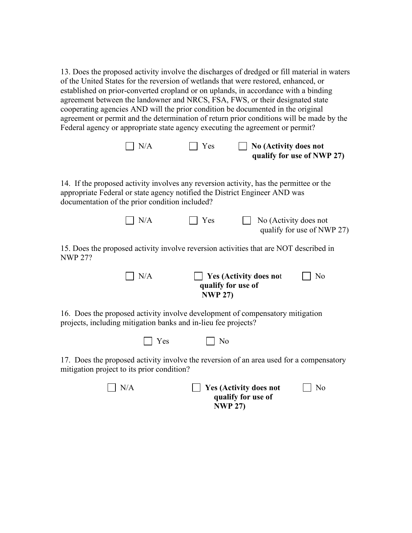13. Does the proposed activity involve the discharges of dredged or fill material in waters of the United States for the reversion of wetlands that were restored, enhanced, or established on prior-converted cropland or on uplands, in accordance with a binding agreement between the landowner and NRCS, FSA, FWS, or their designated state cooperating agencies AND will the prior condition be documented in the original agreement or permit and the determination of return prior conditions will be made by the Federal agency or appropriate state agency executing the agreement or permit?

| $\mid N/A$ | $\Box$ Yes | $\Box$ No (Activity does not |
|------------|------------|------------------------------|
|            |            | qualify for use of NWP 27)   |

14. If the proposed activity involves any reversion activity, has the permittee or the appropriate Federal or state agency notified the District Engineer AND was documentation of the prior condition included?

| $\mathsf{N}/\mathsf{A}$ | $\Box$ Yes | $\Box$ No (Activity does not |
|-------------------------|------------|------------------------------|
|                         |            | qualify for use of NWP 27)   |

15. Does the proposed activity involve reversion activities that are NOT described in NWP 27?

| $\vert$ $\vert$ N/A | $\Box$ Yes (Activity does not | $\overline{\phantom{a}}$ No |
|---------------------|-------------------------------|-----------------------------|
|                     | qualify for use of            |                             |
|                     | <b>NWP 27)</b>                |                             |

16. Does the proposed activity involve development of compensatory mitigation projects, including mitigation banks and in-lieu fee projects?

| $\Box$ Yes<br>$\mid$ No<br>- - - |
|----------------------------------|
|----------------------------------|

17. Does the proposed activity involve the reversion of an area used for a compensatory mitigation project to its prior condition?

| $\overline{\rm N/A}$ | $\Box$ Yes (Activity does not | $\vert$   No |
|----------------------|-------------------------------|--------------|
|                      | qualify for use of            |              |
|                      | <b>NWP 27)</b>                |              |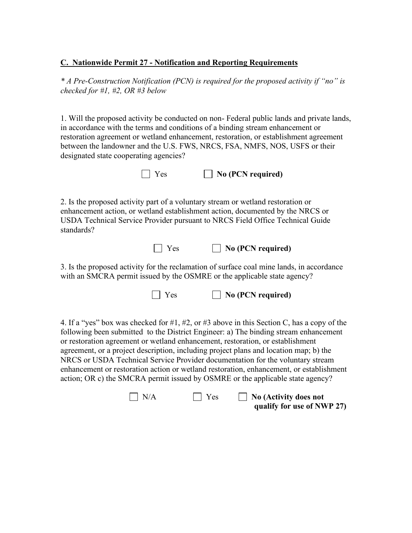#### **C. Nationwide Permit 27 - Notification and Reporting Requirements**

*\* A Pre-Construction Notification (PCN) is required for the proposed activity if "no" is checked for #1, #2, OR #3 below* 

1. Will the proposed activity be conducted on non- Federal public lands and private lands, in accordance with the terms and conditions of a binding stream enhancement or restoration agreement or wetland enhancement, restoration, or establishment agreement between the landowner and the U.S. FWS, NRCS, FSA, NMFS, NOS, USFS or their designated state cooperating agencies?

Yes **No (PCN required)** 

2. Is the proposed activity part of a voluntary stream or wetland restoration or enhancement action, or wetland establishment action, documented by the NRCS or USDA Technical Service Provider pursuant to NRCS Field Office Technical Guide standards?



3. Is the proposed activity for the reclamation of surface coal mine lands, in accordance with an SMCRA permit issued by the OSMRE or the applicable state agency?

Yes **No (PCN required)**

4. If a "yes" box was checked for #1, #2, or #3 above in this Section C, has a copy of the following been submitted to the District Engineer: a) The binding stream enhancement or restoration agreement or wetland enhancement, restoration, or establishment agreement, or a project description, including project plans and location map; b) the NRCS or USDA Technical Service Provider documentation for the voluntary stream enhancement or restoration action or wetland restoration, enhancement, or establishment action; OR c) the SMCRA permit issued by OSMRE or the applicable state agency?

N/A **No Section** Yes **No (Activity does not qualify for use of NWP 27)**